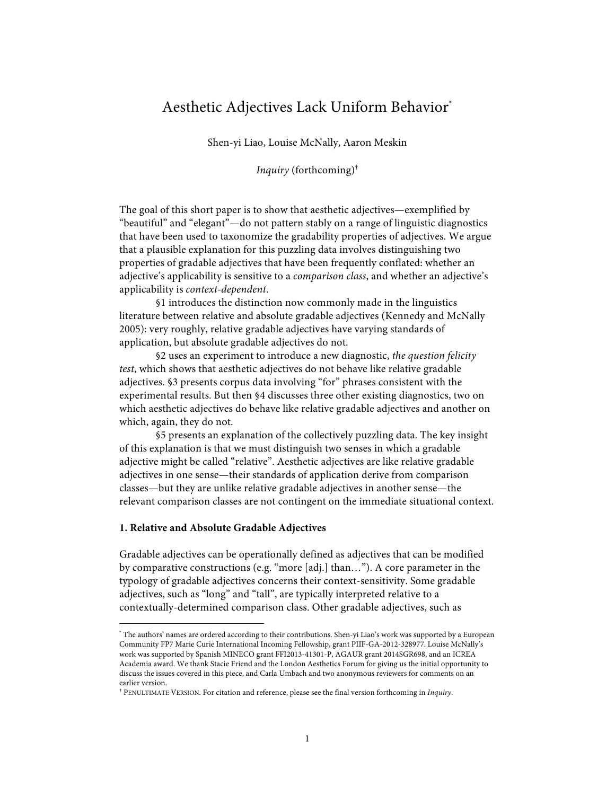# Aesthetic Adjectives Lack Uniform Behavior\*

Shen-yi Liao, Louise McNally, Aaron Meskin

*Inquiry* (forthcoming)†

The goal of this short paper is to show that aesthetic adjectives—exemplified by "beautiful" and "elegant"—do not pattern stably on a range of linguistic diagnostics that have been used to taxonomize the gradability properties of adjectives. We argue that a plausible explanation for this puzzling data involves distinguishing two properties of gradable adjectives that have been frequently conflated: whether an adjective's applicability is sensitive to a *comparison class*, and whether an adjective's applicability is *context-dependent*.

§1 introduces the distinction now commonly made in the linguistics literature between relative and absolute gradable adjectives (Kennedy and McNally 2005): very roughly, relative gradable adjectives have varying standards of application, but absolute gradable adjectives do not.

§2 uses an experiment to introduce a new diagnostic, *the question felicity test*, which shows that aesthetic adjectives do not behave like relative gradable adjectives. §3 presents corpus data involving "for" phrases consistent with the experimental results. But then §4 discusses three other existing diagnostics, two on which aesthetic adjectives do behave like relative gradable adjectives and another on which, again, they do not.

§5 presents an explanation of the collectively puzzling data. The key insight of this explanation is that we must distinguish two senses in which a gradable adjective might be called "relative". Aesthetic adjectives are like relative gradable adjectives in one sense—their standards of application derive from comparison classes—but they are unlike relative gradable adjectives in another sense—the relevant comparison classes are not contingent on the immediate situational context.

## **1. Relative and Absolute Gradable Adjectives**

Gradable adjectives can be operationally defined as adjectives that can be modified by comparative constructions (e.g. "more [adj.] than…"). A core parameter in the typology of gradable adjectives concerns their context-sensitivity. Some gradable adjectives, such as "long" and "tall", are typically interpreted relative to a contextually-determined comparison class. Other gradable adjectives, such as

 <sup>\*</sup> The authors' names are ordered according to their contributions. Shen-yi Liao's work was supported by a European Community FP7 Marie Curie International Incoming Fellowship, grant PIIF-GA-2012-328977. Louise McNally's work was supported by Spanish MINECO grant FFI2013-41301-P, AGAUR grant 2014SGR698, and an ICREA Academia award. We thank Stacie Friend and the London Aesthetics Forum for giving us the initial opportunity to discuss the issues covered in this piece, and Carla Umbach and two anonymous reviewers for comments on an earlier version.

<sup>†</sup> PENULTIMATE VERSION. For citation and reference, please see the final version forthcoming in *Inquiry*.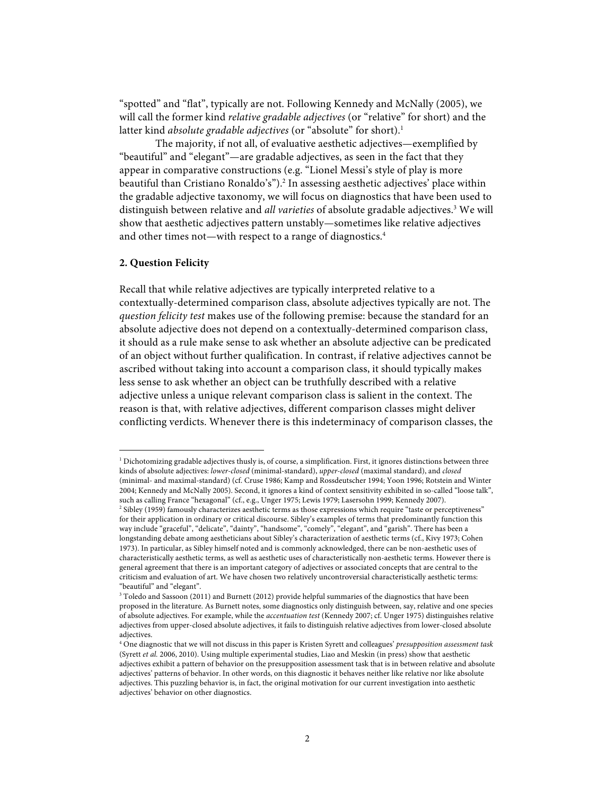"spotted" and "flat", typically are not. Following Kennedy and McNally (2005), we will call the former kind *relative gradable adjectives* (or "relative" for short) and the latter kind *absolute gradable adjectives* (or "absolute" for short).<sup>1</sup>

The majority, if not all, of evaluative aesthetic adjectives—exemplified by "beautiful" and "elegant"—are gradable adjectives, as seen in the fact that they appear in comparative constructions (e.g. "Lionel Messi's style of play is more beautiful than Cristiano Ronaldo's").<sup>2</sup> In assessing aesthetic adjectives' place within the gradable adjective taxonomy, we will focus on diagnostics that have been used to distinguish between relative and *all varieties* of absolute gradable adjectives.<sup>3</sup> We will show that aesthetic adjectives pattern unstably—sometimes like relative adjectives and other times not—with respect to a range of diagnostics. 4

## **2. Question Felicity**

Recall that while relative adjectives are typically interpreted relative to a contextually-determined comparison class, absolute adjectives typically are not. The *question felicity test* makes use of the following premise: because the standard for an absolute adjective does not depend on a contextually-determined comparison class, it should as a rule make sense to ask whether an absolute adjective can be predicated of an object without further qualification. In contrast, if relative adjectives cannot be ascribed without taking into account a comparison class, it should typically makes less sense to ask whether an object can be truthfully described with a relative adjective unless a unique relevant comparison class is salient in the context. The reason is that, with relative adjectives, different comparison classes might deliver conflicting verdicts. Whenever there is this indeterminacy of comparison classes, the

 $1$  Dichotomizing gradable adjectives thusly is, of course, a simplification. First, it ignores distinctions between three kinds of absolute adjectives: *lower-closed* (minimal-standard), *upper-closed* (maximal standard), and *closed* (minimal- and maximal-standard) (cf. Cruse 1986; Kamp and Rossdeutscher 1994; Yoon 1996; Rotstein and Winter 2004; Kennedy and McNally 2005). Second, it ignores a kind of context sensitivity exhibited in so-called "loose talk", such as calling France "hexagonal" (cf., e.g., Unger 1975; Lewis 1979; Lasersohn 1999; Kennedy 2007).

<sup>&</sup>lt;sup>2</sup> Sibley (1959) famously characterizes aesthetic terms as those expressions which require "taste or perceptiveness" for their application in ordinary or critical discourse. Sibley's examples of terms that predominantly function this way include "graceful", "delicate", "dainty", "handsome", "comely", "elegant", and "garish". There has been a longstanding debate among aestheticians about Sibley's characterization of aesthetic terms (cf., Kivy 1973; Cohen 1973). In particular, as Sibley himself noted and is commonly acknowledged, there can be non-aesthetic uses of characteristically aesthetic terms, as well as aesthetic uses of characteristically non-aesthetic terms. However there is general agreement that there is an important category of adjectives or associated concepts that are central to the criticism and evaluation of art. We have chosen two relatively uncontroversial characteristically aesthetic terms: "beautiful" and "elegant".

<sup>&</sup>lt;sup>3</sup> Toledo and Sassoon (2011) and Burnett (2012) provide helpful summaries of the diagnostics that have been proposed in the literature. As Burnett notes, some diagnostics only distinguish between, say, relative and one species of absolute adjectives. For example, while the *accentuation test* (Kennedy 2007; cf. Unger 1975) distinguishes relative adjectives from upper-closed absolute adjectives, it fails to distinguish relative adjectives from lower-closed absolute adjectives.

<sup>4</sup> One diagnostic that we will not discuss in this paper is Kristen Syrett and colleagues' *presupposition assessment task*  (Syrett *et al.* 2006, 2010). Using multiple experimental studies, Liao and Meskin (in press) show that aesthetic adjectives exhibit a pattern of behavior on the presupposition assessment task that is in between relative and absolute adjectives' patterns of behavior. In other words, on this diagnostic it behaves neither like relative nor like absolute adjectives. This puzzling behavior is, in fact, the original motivation for our current investigation into aesthetic adjectives' behavior on other diagnostics.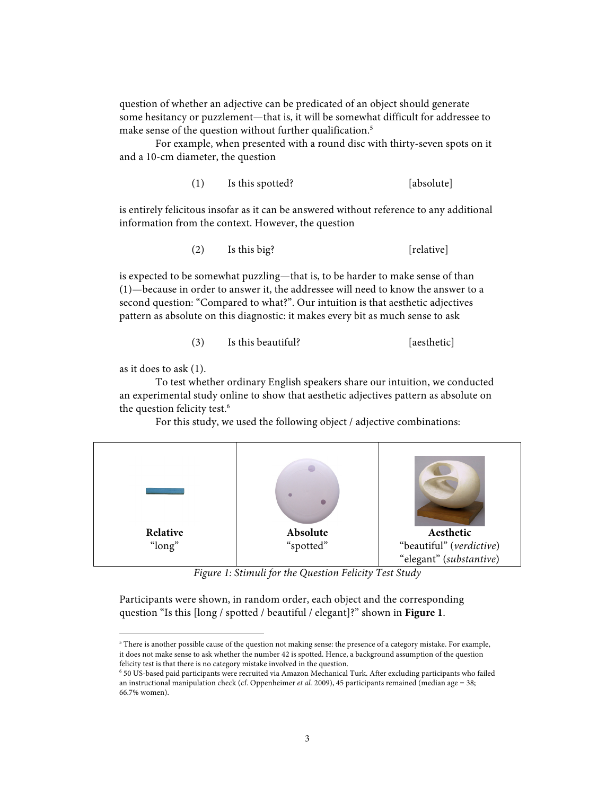question of whether an adjective can be predicated of an object should generate some hesitancy or puzzlement—that is, it will be somewhat difficult for addressee to make sense of the question without further qualification. 5

For example, when presented with a round disc with thirty-seven spots on it and a 10-cm diameter, the question

(1) Is this spotted? [absolute]

is entirely felicitous insofar as it can be answered without reference to any additional information from the context. However, the question

(2) Is this big? [relative]

is expected to be somewhat puzzling—that is, to be harder to make sense of than (1)—because in order to answer it, the addressee will need to know the answer to a second question: "Compared to what?". Our intuition is that aesthetic adjectives pattern as absolute on this diagnostic: it makes every bit as much sense to ask

# (3) Is this beautiful? [aesthetic]

as it does to ask (1).

To test whether ordinary English speakers share our intuition, we conducted an experimental study online to show that aesthetic adjectives pattern as absolute on the question felicity test. 6

For this study, we used the following object / adjective combinations:



*Figure 1: Stimuli for the Question Felicity Test Study*

Participants were shown, in random order, each object and the corresponding question "Is this [long / spotted / beautiful / elegant]?" shown in **Figure 1**.

 $^{\rm 5}$  There is another possible cause of the question not making sense: the presence of a category mistake. For example, it does not make sense to ask whether the number 42 is spotted. Hence, a background assumption of the question felicity test is that there is no category mistake involved in the question.

<sup>6</sup> 50 US-based paid participants were recruited via Amazon Mechanical Turk. After excluding participants who failed an instructional manipulation check (cf. Oppenheimer *et al.* 2009), 45 participants remained (median age = 38; 66.7% women).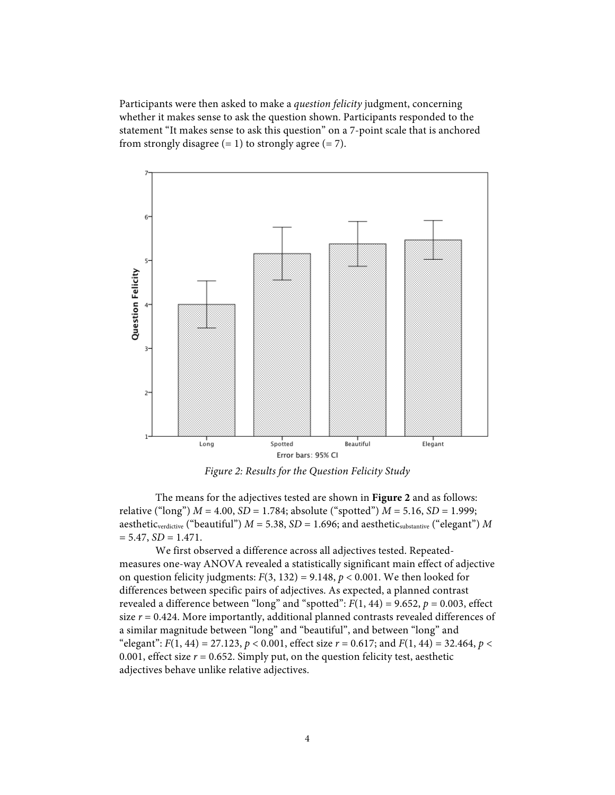Participants were then asked to make a *question felicity* judgment, concerning whether it makes sense to ask the question shown. Participants responded to the statement "It makes sense to ask this question" on a 7-point scale that is anchored from strongly disagree  $(= 1)$  to strongly agree  $(= 7)$ .



*Figure 2: Results for the Question Felicity Study*

The means for the adjectives tested are shown in **Figure 2** and as follows: relative ("long") *M* = 4.00, *SD* = 1.784; absolute ("spotted") *M* = 5.16, *SD* = 1.999; aesthetic<sub>verdictive</sub> ("beautiful")  $M = 5.38$ ,  $SD = 1.696$ ; and aesthetic<sub>substantive</sub> ("elegant")  $M$  $= 5.47, SD = 1.471.$ 

We first observed a difference across all adjectives tested. Repeatedmeasures one-way ANOVA revealed a statistically significant main effect of adjective on question felicity judgments:  $F(3, 132) = 9.148$ ,  $p < 0.001$ . We then looked for differences between specific pairs of adjectives. As expected, a planned contrast revealed a difference between "long" and "spotted":  $F(1, 44) = 9.652$ ,  $p = 0.003$ , effect size  $r = 0.424$ . More importantly, additional planned contrasts revealed differences of a similar magnitude between "long" and "beautiful", and between "long" and "elegant":  $F(1, 44) = 27.123$ ,  $p < 0.001$ , effect size  $r = 0.617$ ; and  $F(1, 44) = 32.464$ ,  $p <$ 0.001, effect size  $r = 0.652$ . Simply put, on the question felicity test, aesthetic adjectives behave unlike relative adjectives.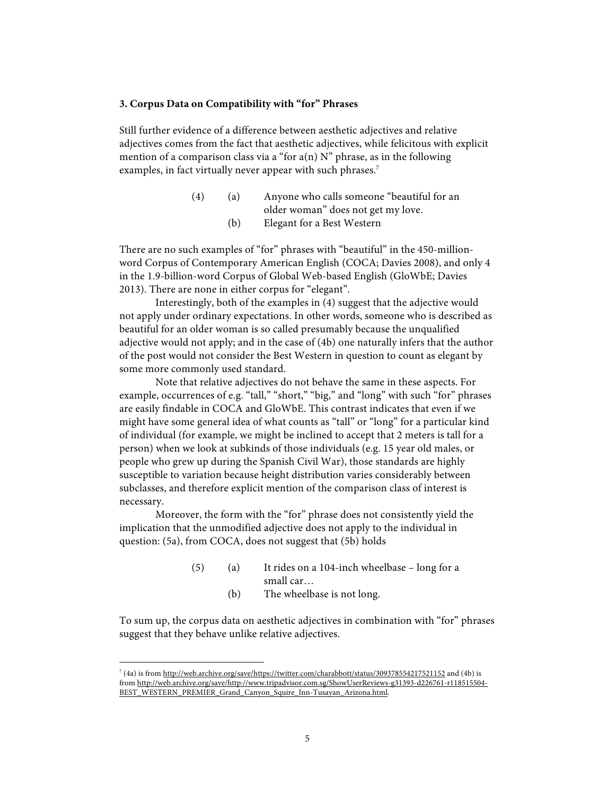### **3. Corpus Data on Compatibility with "for" Phrases**

Still further evidence of a difference between aesthetic adjectives and relative adjectives comes from the fact that aesthetic adjectives, while felicitous with explicit mention of a comparison class via a "for  $a(n)$  N" phrase, as in the following examples, in fact virtually never appear with such phrases.<sup>7</sup>

> (4) (a) Anyone who calls someone "beautiful for an older woman" does not get my love. (b) Elegant for a Best Western

There are no such examples of "for" phrases with "beautiful" in the 450-millionword Corpus of Contemporary American English (COCA; Davies 2008), and only 4 in the 1.9-billion-word Corpus of Global Web-based English (GloWbE; Davies 2013). There are none in either corpus for "elegant".

Interestingly, both of the examples in (4) suggest that the adjective would not apply under ordinary expectations. In other words, someone who is described as beautiful for an older woman is so called presumably because the unqualified adjective would not apply; and in the case of (4b) one naturally infers that the author of the post would not consider the Best Western in question to count as elegant by some more commonly used standard.

Note that relative adjectives do not behave the same in these aspects. For example, occurrences of e.g. "tall," "short," "big," and "long" with such "for" phrases are easily findable in COCA and GloWbE. This contrast indicates that even if we might have some general idea of what counts as "tall" or "long" for a particular kind of individual (for example, we might be inclined to accept that 2 meters is tall for a person) when we look at subkinds of those individuals (e.g. 15 year old males, or people who grew up during the Spanish Civil War), those standards are highly susceptible to variation because height distribution varies considerably between subclasses, and therefore explicit mention of the comparison class of interest is necessary.

Moreover, the form with the "for" phrase does not consistently yield the implication that the unmodified adjective does not apply to the individual in question: (5a), from COCA, does not suggest that (5b) holds

- (5) (a) It rides on a 104-inch wheelbase long for a small car…
	- (b) The wheelbase is not long.

To sum up, the corpus data on aesthetic adjectives in combination with "for" phrases suggest that they behave unlike relative adjectives.

 <sup>7</sup> (4a) is from http://web.archive.org/save/https://twitter.com/charabbott/status/309378554217521152 and (4b) is from http://web.archive.org/save/http://www.tripadvisor.com.sg/ShowUserReviews-g31393-d226761-r118515504- BEST\_WESTERN\_PREMIER\_Grand\_Canyon\_Squire\_Inn-Tusayan\_Arizona.html.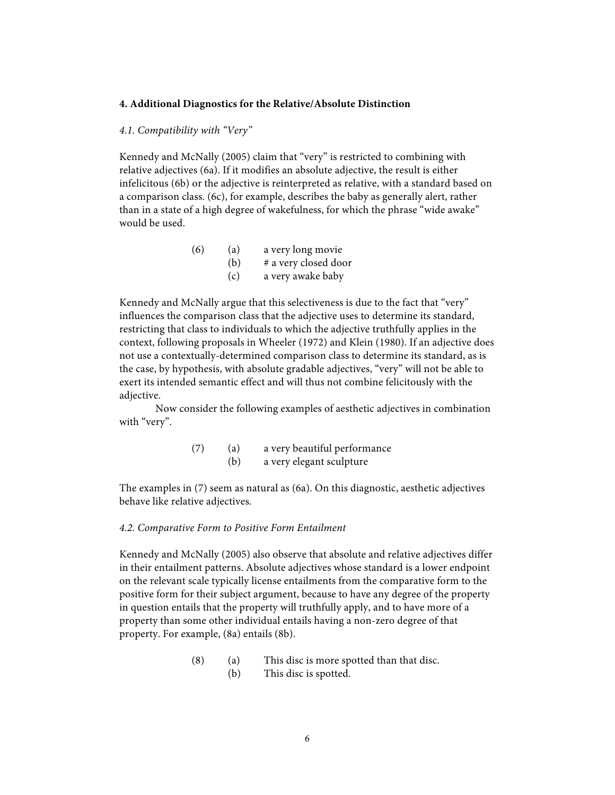#### **4. Additional Diagnostics for the Relative/Absolute Distinction**

### *4.1. Compatibility with "Very"*

Kennedy and McNally (2005) claim that "very" is restricted to combining with relative adjectives (6a). If it modifies an absolute adjective, the result is either infelicitous (6b) or the adjective is reinterpreted as relative, with a standard based on a comparison class. (6c), for example, describes the baby as generally alert, rather than in a state of a high degree of wakefulness, for which the phrase "wide awake" would be used.

| (6) | (a) | a very long movie    |
|-----|-----|----------------------|
|     | (b) | # a very closed door |
|     | (c) | a very awake baby    |

Kennedy and McNally argue that this selectiveness is due to the fact that "very" influences the comparison class that the adjective uses to determine its standard, restricting that class to individuals to which the adjective truthfully applies in the context, following proposals in Wheeler (1972) and Klein (1980). If an adjective does not use a contextually-determined comparison class to determine its standard, as is the case, by hypothesis, with absolute gradable adjectives, "very" will not be able to exert its intended semantic effect and will thus not combine felicitously with the adjective.

Now consider the following examples of aesthetic adjectives in combination with "very".

| (7) | (a) | a very beautiful performance |
|-----|-----|------------------------------|
|     | (b) | a very elegant sculpture     |

The examples in (7) seem as natural as (6a). On this diagnostic, aesthetic adjectives behave like relative adjectives.

#### *4.2. Comparative Form to Positive Form Entailment*

Kennedy and McNally (2005) also observe that absolute and relative adjectives differ in their entailment patterns. Absolute adjectives whose standard is a lower endpoint on the relevant scale typically license entailments from the comparative form to the positive form for their subject argument, because to have any degree of the property in question entails that the property will truthfully apply, and to have more of a property than some other individual entails having a non-zero degree of that property. For example, (8a) entails (8b).

> (8) (a) This disc is more spotted than that disc. (b) This disc is spotted.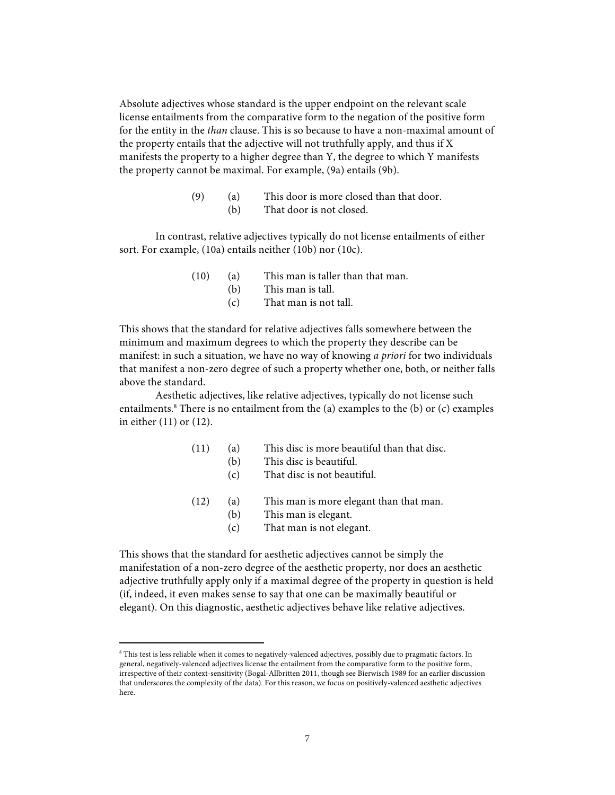Absolute adjectives whose standard is the upper endpoint on the relevant scale license entailments from the comparative form to the negation of the positive form for the entity in the *than* clause. This is so because to have a non-maximal amount of the property entails that the adjective will not truthfully apply, and thus if X manifests the property to a higher degree than Y, the degree to which Y manifests the property cannot be maximal. For example, (9a) entails (9b).

| (9) | (a) | This door is more closed than that door. |
|-----|-----|------------------------------------------|
|     | (b) | That door is not closed.                 |

In contrast, relative adjectives typically do not license entailments of either sort. For example, (10a) entails neither (10b) nor (10c).

- (10) (a) This man is taller than that man.
	- (b) This man is tall.
		- (c) That man is not tall.

This shows that the standard for relative adjectives falls somewhere between the minimum and maximum degrees to which the property they describe can be manifest: in such a situation, we have no way of knowing *a priori* for two individuals that manifest a non-zero degree of such a property whether one, both, or neither falls above the standard.

Aesthetic adjectives, like relative adjectives, typically do not license such entailments. $8$  There is no entailment from the (a) examples to the (b) or (c) examples in either (11) or (12).

| (11) | (a) | This disc is more beautiful than that disc.       |
|------|-----|---------------------------------------------------|
|      | (b) | This disc is beautiful.                           |
|      | (c) | That disc is not beautiful.                       |
|      |     | $(100 \pm 1)$ and $(100 \pm 1)$ and $(100 \pm 1)$ |

- (12) (a) This man is more elegant than that man. (b) This man is elegant.
	-
	- (c) That man is not elegant.

This shows that the standard for aesthetic adjectives cannot be simply the manifestation of a non-zero degree of the aesthetic property, nor does an aesthetic adjective truthfully apply only if a maximal degree of the property in question is held (if, indeed, it even makes sense to say that one can be maximally beautiful or elegant). On this diagnostic, aesthetic adjectives behave like relative adjectives.

<sup>&</sup>lt;sup>8</sup> This test is less reliable when it comes to negatively-valenced adjectives, possibly due to pragmatic factors. In general, negatively-valenced adjectives license the entailment from the comparative form to the positive form, irrespective of their context-sensitivity (Bogal-Allbritten 2011, though see Bierwisch 1989 for an earlier discussion that underscores the complexity of the data). For this reason, we focus on positively-valenced aesthetic adjectives here.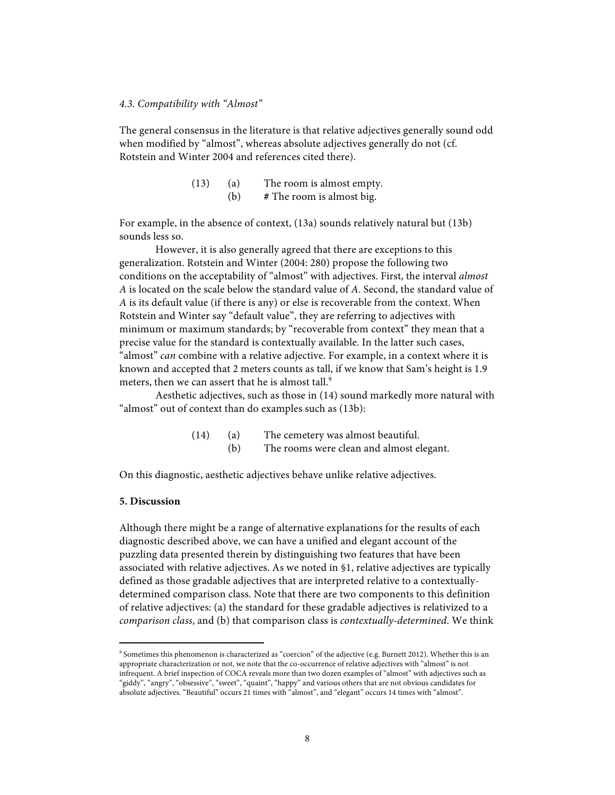#### *4.3. Compatibility with "Almost"*

The general consensus in the literature is that relative adjectives generally sound odd when modified by "almost", whereas absolute adjectives generally do not (cf. Rotstein and Winter 2004 and references cited there).

| (13) | (a) | The room is almost empty. |
|------|-----|---------------------------|
|      | (b) | # The room is almost big. |

For example, in the absence of context, (13a) sounds relatively natural but (13b) sounds less so.

However, it is also generally agreed that there are exceptions to this generalization. Rotstein and Winter (2004: 280) propose the following two conditions on the acceptability of "almost" with adjectives. First, the interval *almost A* is located on the scale below the standard value of *A*. Second, the standard value of *A* is its default value (if there is any) or else is recoverable from the context. When Rotstein and Winter say "default value", they are referring to adjectives with minimum or maximum standards; by "recoverable from context" they mean that a precise value for the standard is contextually available. In the latter such cases, "almost" *can* combine with a relative adjective. For example, in a context where it is known and accepted that 2 meters counts as tall, if we know that Sam's height is 1.9 meters, then we can assert that he is almost tall.<sup>9</sup>

Aesthetic adjectives, such as those in (14) sound markedly more natural with "almost" out of context than do examples such as (13b):

> (14) (a) The cemetery was almost beautiful. (b) The rooms were clean and almost elegant.

On this diagnostic, aesthetic adjectives behave unlike relative adjectives.

## **5. Discussion**

Although there might be a range of alternative explanations for the results of each diagnostic described above, we can have a unified and elegant account of the puzzling data presented therein by distinguishing two features that have been associated with relative adjectives. As we noted in §1, relative adjectives are typically defined as those gradable adjectives that are interpreted relative to a contextuallydetermined comparison class. Note that there are two components to this definition of relative adjectives: (a) the standard for these gradable adjectives is relativized to a *comparison class*, and (b) that comparison class is *contextually-determined*. We think

<sup>&</sup>lt;sup>9</sup> Sometimes this phenomenon is characterized as "coercion" of the adjective (e.g. Burnett 2012). Whether this is an appropriate characterization or not, we note that the co-occurrence of relative adjectives with "almost" is not infrequent. A brief inspection of COCA reveals more than two dozen examples of "almost" with adjectives such as "giddy", "angry", "obsessive", "sweet", "quaint", "happy" and various others that are not obvious candidates for absolute adjectives. "Beautiful" occurs 21 times with "almost", and "elegant" occurs 14 times with "almost".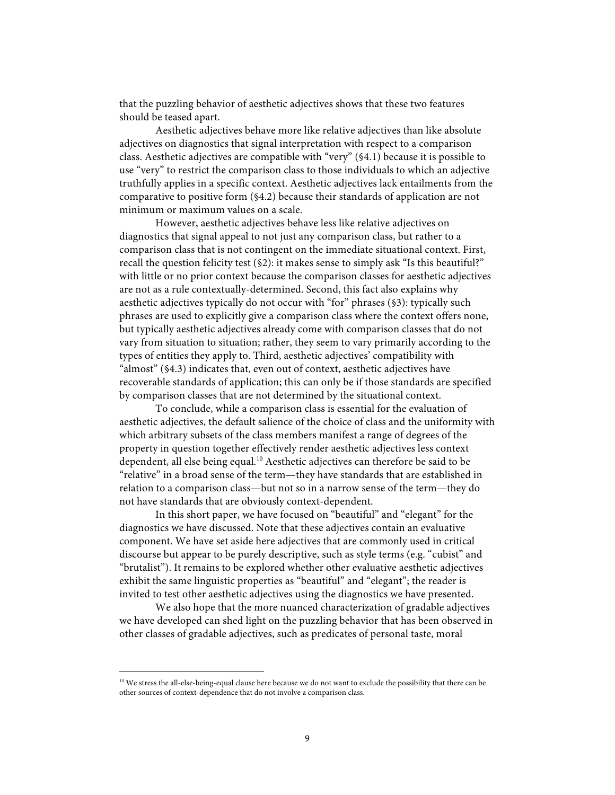that the puzzling behavior of aesthetic adjectives shows that these two features should be teased apart.

Aesthetic adjectives behave more like relative adjectives than like absolute adjectives on diagnostics that signal interpretation with respect to a comparison class. Aesthetic adjectives are compatible with "very" (§4.1) because it is possible to use "very" to restrict the comparison class to those individuals to which an adjective truthfully applies in a specific context. Aesthetic adjectives lack entailments from the comparative to positive form (§4.2) because their standards of application are not minimum or maximum values on a scale.

However, aesthetic adjectives behave less like relative adjectives on diagnostics that signal appeal to not just any comparison class, but rather to a comparison class that is not contingent on the immediate situational context. First, recall the question felicity test (§2): it makes sense to simply ask "Is this beautiful?" with little or no prior context because the comparison classes for aesthetic adjectives are not as a rule contextually-determined. Second, this fact also explains why aesthetic adjectives typically do not occur with "for" phrases (§3): typically such phrases are used to explicitly give a comparison class where the context offers none, but typically aesthetic adjectives already come with comparison classes that do not vary from situation to situation; rather, they seem to vary primarily according to the types of entities they apply to. Third, aesthetic adjectives' compatibility with "almost" (§4.3) indicates that, even out of context, aesthetic adjectives have recoverable standards of application; this can only be if those standards are specified by comparison classes that are not determined by the situational context.

To conclude, while a comparison class is essential for the evaluation of aesthetic adjectives, the default salience of the choice of class and the uniformity with which arbitrary subsets of the class members manifest a range of degrees of the property in question together effectively render aesthetic adjectives less context dependent, all else being equal. <sup>10</sup> Aesthetic adjectives can therefore be said to be "relative" in a broad sense of the term—they have standards that are established in relation to a comparison class—but not so in a narrow sense of the term—they do not have standards that are obviously context-dependent.

In this short paper, we have focused on "beautiful" and "elegant" for the diagnostics we have discussed. Note that these adjectives contain an evaluative component. We have set aside here adjectives that are commonly used in critical discourse but appear to be purely descriptive, such as style terms (e.g. "cubist" and "brutalist"). It remains to be explored whether other evaluative aesthetic adjectives exhibit the same linguistic properties as "beautiful" and "elegant"; the reader is invited to test other aesthetic adjectives using the diagnostics we have presented.

We also hope that the more nuanced characterization of gradable adjectives we have developed can shed light on the puzzling behavior that has been observed in other classes of gradable adjectives, such as predicates of personal taste, moral

<sup>&</sup>lt;sup>10</sup> We stress the all-else-being-equal clause here because we do not want to exclude the possibility that there can be other sources of context-dependence that do not involve a comparison class.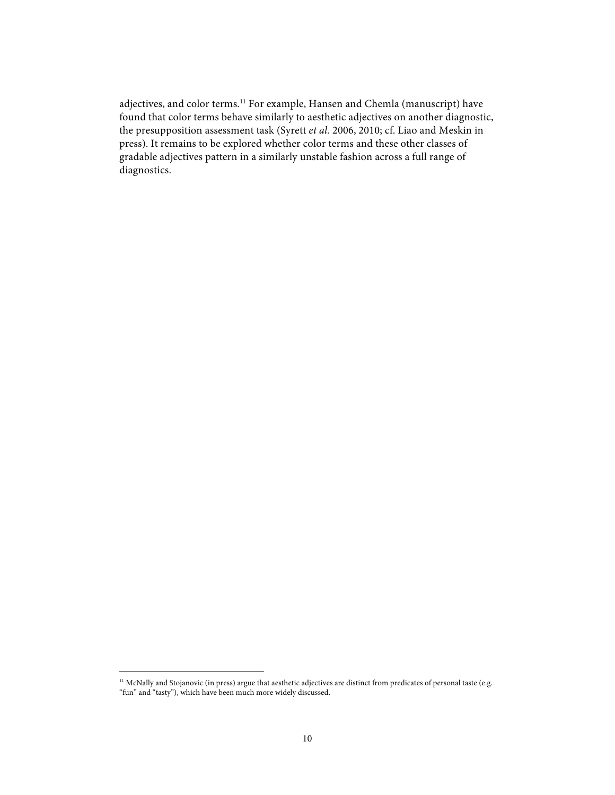adjectives, and color terms.11 For example, Hansen and Chemla (manuscript) have found that color terms behave similarly to aesthetic adjectives on another diagnostic, the presupposition assessment task (Syrett *et al.* 2006, 2010; cf. Liao and Meskin in press). It remains to be explored whether color terms and these other classes of gradable adjectives pattern in a similarly unstable fashion across a full range of diagnostics.

<sup>&</sup>lt;sup>11</sup> McNally and Stojanovic (in press) argue that aesthetic adjectives are distinct from predicates of personal taste (e.g. "fun" and "tasty"), which have been much more widely discussed.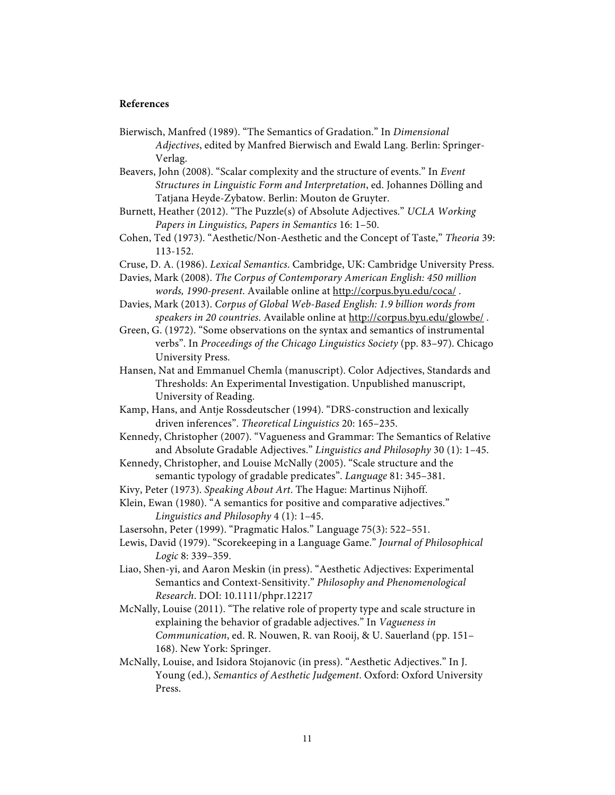## **References**

Bierwisch, Manfred (1989). "The Semantics of Gradation." In *Dimensional Adjectives*, edited by Manfred Bierwisch and Ewald Lang. Berlin: Springer-Verlag.

Beavers, John (2008). "Scalar complexity and the structure of events." In *Event Structures in Linguistic Form and Interpretation*, ed. Johannes Dölling and Tatjana Heyde-Zybatow. Berlin: Mouton de Gruyter.

Burnett, Heather (2012). "The Puzzle(s) of Absolute Adjectives." *UCLA Working Papers in Linguistics, Papers in Semantics* 16: 1–50.

- Cohen, Ted (1973). "Aesthetic/Non-Aesthetic and the Concept of Taste," *Theoria* 39: 113-152.
- Cruse, D. A. (1986). *Lexical Semantics*. Cambridge, UK: Cambridge University Press.

Davies, Mark (2008). *The Corpus of Contemporary American English: 450 million words, 1990-present*. Available online at http://corpus.byu.edu/coca/ .

- Davies, Mark (2013). *Corpus of Global Web-Based English: 1.9 billion words from speakers in 20 countries*. Available online at http://corpus.byu.edu/glowbe/ .
- Green, G. (1972). "Some observations on the syntax and semantics of instrumental verbs". In *Proceedings of the Chicago Linguistics Society* (pp. 83–97). Chicago University Press.
- Hansen, Nat and Emmanuel Chemla (manuscript). Color Adjectives, Standards and Thresholds: An Experimental Investigation. Unpublished manuscript, University of Reading.
- Kamp, Hans, and Antje Rossdeutscher (1994). "DRS-construction and lexically driven inferences". *Theoretical Linguistics* 20: 165–235.
- Kennedy, Christopher (2007). "Vagueness and Grammar: The Semantics of Relative and Absolute Gradable Adjectives." *Linguistics and Philosophy* 30 (1): 1–45.
- Kennedy, Christopher, and Louise McNally (2005). "Scale structure and the semantic typology of gradable predicates". *Language* 81: 345–381.
- Kivy, Peter (1973). *Speaking About Art*. The Hague: Martinus Nijhoff.

Klein, Ewan (1980). "A semantics for positive and comparative adjectives." *Linguistics and Philosophy* 4 (1): 1–45.

Lasersohn, Peter (1999). "Pragmatic Halos." Language 75(3): 522–551.

- Lewis, David (1979). "Scorekeeping in a Language Game." *Journal of Philosophical Logic* 8: 339–359.
- Liao, Shen-yi, and Aaron Meskin (in press). "Aesthetic Adjectives: Experimental Semantics and Context-Sensitivity." *Philosophy and Phenomenological Research*. DOI: 10.1111/phpr.12217
- McNally, Louise (2011). "The relative role of property type and scale structure in explaining the behavior of gradable adjectives." In *Vagueness in Communication*, ed. R. Nouwen, R. van Rooij, & U. Sauerland (pp. 151– 168). New York: Springer.
- McNally, Louise, and Isidora Stojanovic (in press). "Aesthetic Adjectives." In J. Young (ed.), *Semantics of Aesthetic Judgement*. Oxford: Oxford University Press.